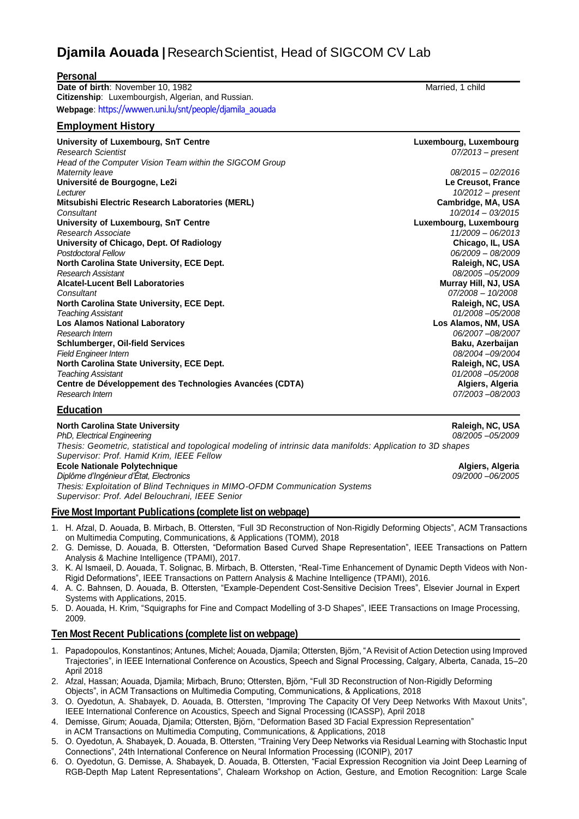# **Djamila Aouada** | Research Scientist, Head of SIGCOM CV Lab

| <b>Personal</b>                                          |                        |
|----------------------------------------------------------|------------------------|
| Date of birth: November 10, 1982                         | Married, 1 child       |
| Citizenship: Luxembourgish, Algerian, and Russian.       |                        |
| Webpage: https://wwwen.uni.lu/snt/people/djamila_aouada  |                        |
| <b>Employment History</b>                                |                        |
| University of Luxembourg, SnT Centre                     | Luxembourg, Luxembourg |
| <b>Research Scientist</b>                                | $07/2013$ – present    |
| Head of the Computer Vision Team within the SIGCOM Group |                        |
| Maternity leave                                          | $08/2015 - 02/2016$    |
| Université de Bourgogne, Le2i                            | Le Creusot, France     |
| Lecturer                                                 | 10/2012 - present      |
| Mitsubishi Electric Research Laboratories (MERL)         | Cambridge, MA, USA     |
| Consultant                                               | $10/2014 - 03/2015$    |
| University of Luxembourg, SnT Centre                     | Luxembourg, Luxembourg |
| Research Associate                                       | $11/2009 - 06/2013$    |
| University of Chicago, Dept. Of Radiology                | Chicago, IL, USA       |
| <b>Postdoctoral Fellow</b>                               | 06/2009 - 08/2009      |
| North Carolina State University, ECE Dept.               | Raleigh, NC, USA       |
| Research Assistant                                       | 08/2005-05/2009        |
| <b>Alcatel-Lucent Bell Laboratories</b>                  | Murray Hill, NJ, USA   |
| Consultant                                               | 07/2008 - 10/2008      |
| North Carolina State University, ECE Dept.               | Raleigh, NC, USA       |
| <b>Teaching Assistant</b>                                | $01/2008 - 05/2008$    |
| <b>Los Alamos National Laboratory</b>                    | Los Alamos, NM, USA    |
| Research Intern                                          | 06/2007-08/2007        |
| <b>Schlumberger, Oil-field Services</b>                  | Baku, Azerbaijan       |
| <b>Field Engineer Intern</b>                             | 08/2004-09/2004        |
| North Carolina State University, ECE Dept.               | Raleigh, NC, USA       |
| <b>Teaching Assistant</b>                                | 01/2008 -05/2008       |
| Centre de Développement des Technologies Avancées (CDTA) | Algiers, Algeria       |
| Research Intern                                          | 07/2003-08/2003        |
| متحالف ومرابطات                                          |                        |

#### **Education**

| Raleigh, NC, USA  |
|-------------------|
| 08/2005 - 05/2009 |
|                   |
|                   |
| Algiers, Algeria  |
| 09/2000 - 06/2005 |
|                   |
|                   |
|                   |

#### **Five Most Important Publications (complete list on webpage)**

- 1. H. Afzal, D. Aouada, B. Mirbach, B. Ottersten, "Full 3D Reconstruction of Non-Rigidly Deforming Objects", ACM Transactions on Multimedia Computing, Communications, & Applications (TOMM), 2018
- 2. G. Demisse, D. Aouada, B. Ottersten, "Deformation Based Curved Shape Representation", IEEE Transactions on Pattern Analysis & Machine Intelligence (TPAMI), 2017.
- 3. K. Al Ismaeil, D. Aouada, T. Solignac, B. Mirbach, B. Ottersten, "Real-Time Enhancement of Dynamic Depth Videos with Non-Rigid Deformations", IEEE Transactions on Pattern Analysis & Machine Intelligence (TPAMI), 2016.
- 4. A. C. Bahnsen, D. Aouada, B. Ottersten, "Example-Dependent Cost-Sensitive Decision Trees", Elsevier Journal in Expert Systems with Applications, 2015.
- 5. D. Aouada, H. Krim, "Squigraphs for Fine and Compact Modelling of 3-D Shapes", IEEE Transactions on Image Processing, 2009.

#### **Ten Most Recent Publications (complete list on webpage)**

- 1. Papadopoulos, Konstantinos; Antunes, Michel; Aouada, Djamila; Ottersten, Björn, ["A Revisit of Action Detection using Improved](http://orbilu.uni.lu/handle/10993/35012)  [Trajectories"](http://orbilu.uni.lu/handle/10993/35012), in IEEE International Conference on Acoustics, Speech and Signal Processing, Calgary, Alberta, Canada, 15–20 April 2018
- 2. Afzal, Hassan; Aouada, Djamila; Mirbach, Bruno; Ottersten, Björn, ["Full 3D Reconstruction of Non-Rigidly Deforming](http://orbilu.uni.lu/handle/10993/34602)  [Objects"](http://orbilu.uni.lu/handle/10993/34602), in ACM Transactions on Multimedia Computing, Communications, & Applications, 2018
- 3. O. Oyedotun, A. Shabayek, D. Aouada, B. Ottersten, ["Improving The Capacity Of Very Deep Networks With Maxout Units"](http://orbilu.uni.lu/handle/10993/34968), IEEE International Conference on Acoustics, Speech and Signal Processing (ICASSP), April 2018
- 4. Demisse, Girum; Aouada, Djamila; Ottersten, Björn, ["Deformation Based 3D Facial Expression Representation"](http://orbilu.uni.lu/handle/10993/34158)
- in ACM Transactions on Multimedia Computing, Communications, & Applications, 2018
- 5. O. Oyedotun, A. Shabayek, D. Aouada, B. Ottersten, "Training Very Deep Networks via Residual Learning with Stochastic Input Connections", 24th International Conference on Neural Information Processing (ICONIP), 2017
- 6. O. Oyedotun, G. Demisse, A. Shabayek, D. Aouada, B. Ottersten, "Facial Expression Recognition via Joint Deep Learning of RGB-Depth Map Latent Representations", Chalearn Workshop on Action, Gesture, and Emotion Recognition: Large Scale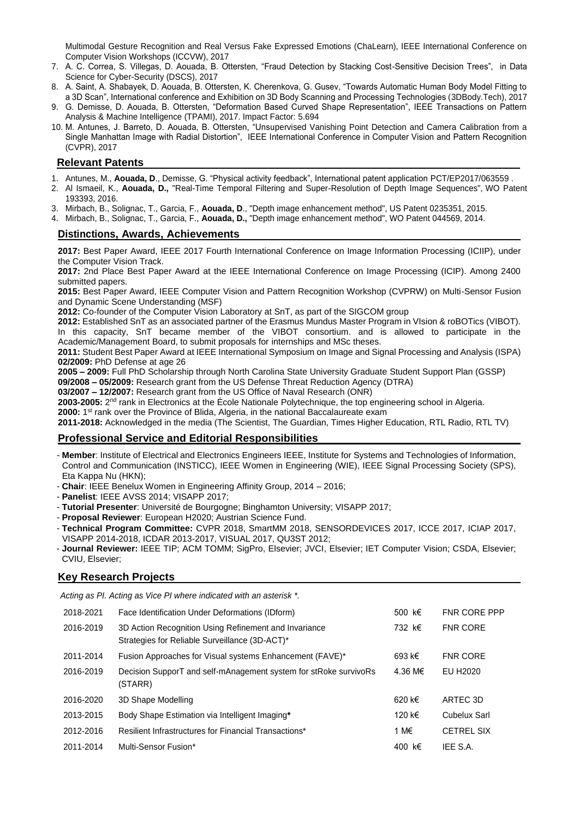Multimodal Gesture Recognition and Real Versus Fake Expressed Emotions (ChaLearn), IEEE International Conference on Computer Vision Workshops (ICCVW), 2017

- 7. A. C. Correa, S. Villegas, D. Aouada, B. Ottersten, "Fraud Detection by Stacking Cost-Sensitive Decision Trees", in Data Science for Cyber-Security (DSCS), 2017
- 8. A. Saint, A. Shabayek, D. Aouada, B. Ottersten, K. Cherenkova, G. Gusev, "Towards Automatic Human Body Model Fitting to a 3D Scan", International conference and Exhibition on 3D Body Scanning and Processing Technologies (3DBody.Tech), 2017
- 9. G. Demisse, D. Aouada, B. Ottersten, "Deformation Based Curved Shape Representation", IEEE Transactions on Pattern Analysis & Machine Intelligence (TPAMI), 2017. Impact Factor: 5.694
- 10. M. Antunes, J. Barreto, D. Aouada, B. Ottersten, "Unsupervised Vanishing Point Detection and Camera Calibration from a Single Manhattan Image with Radial Distortion", IEEE International Conference in Computer Vision and Pattern Recognition (CVPR), 2017

## **Relevant Patents**

- 1. Antunes, M., **Aouada, D**., Demisse, G. "Physical activity feedback", International patent application PCT/EP2017/063559 .
- 2. Al Ismaeil, K., **Aouada, D.,** "Real-Time Temporal Filtering and Super-Resolution of Depth Image Sequences", WO Patent 193393, 2016.
- 3. Mirbach, B., Solignac, T., Garcia, F., **Aouada, D**., "Depth image enhancement method", US Patent 0235351, 2015.
- 4. Mirbach, B., Solignac, T., Garcia, F., **Aouada, D.,** "Depth image enhancement method", WO Patent 044569, 2014.

#### **Distinctions, Awards, Achievements**

**2017:** Best Paper Award, IEEE 2017 Fourth International Conference on Image Information Processing (ICIIP), under the Computer Vision Track.

**2017:** 2nd Place Best Paper Award at the IEEE International Conference on Image Processing (ICIP). Among 2400 submitted papers.

**2015:** Best Paper Award, IEEE Computer Vision and Pattern Recognition Workshop (CVPRW) on Multi-Sensor Fusion and Dynamic Scene Understanding (MSF)

**2012:** Co-founder of the Computer Vision Laboratory at SnT, as part of the SIGCOM group

**2012:** Established SnT as an associated partner of the Erasmus Mundus Master Program in VIsion & roBOTics (VIBOT). In this capacity, SnT became member of the VIBOT consortium. and is allowed to participate in the Academic/Management Board, to submit proposals for internships and MSc theses.

**2011:** Student Best Paper Award at IEEE International Symposium on Image and Signal Processing and Analysis (ISPA) **02/2009:** PhD Defense at age 26

**2005 – 2009:** Full PhD Scholarship through North Carolina State University Graduate Student Support Plan (GSSP)

**09/2008 – 05/2009:** Research grant from the US Defense Threat Reduction Agency (DTRA)

**03/2007 – 12/2007:** Research grant from the US Office of Naval Research (ONR)

2003-2005: 2<sup>nd</sup> rank in Electronics at the École Nationale Polytechnique, the top engineering school in Algeria.

**2000:** 1<sup>st</sup> rank over the Province of Blida, Algeria, in the national Baccalaureate exam

**2011-2018:** Acknowledged in the media (The Scientist, The Guardian, Times Higher Education, RTL Radio, RTL TV)

## **Professional Service and Editorial Responsibilities**

- **Member**: Institute of Electrical and Electronics Engineers IEEE, Institute for Systems and Technologies of Information, Control and Communication (INSTICC), IEEE Women in Engineering (WIE), IEEE Signal Processing Society (SPS), Eta Kappa Nu (HKN);
- **Chair**: IEEE Benelux Women in Engineering Affinity Group, 2014 2016;
- **Panelist**: IEEE AVSS 2014; VISAPP 2017;
- **Tutorial Presenter**: Université de Bourgogne; Binghamton University; VISAPP 2017;
- **Proposal Reviewer**: European H2020; Austrian Science Fund.
- **Technical Program Committee:** CVPR 2018, SmartMM 2018, SENSORDEVICES 2017, ICCE 2017, ICIAP 2017, VISAPP 2014-2018, ICDAR 2013-2017, VISUAL 2017, QU3ST 2012;
- **Journal Reviewer:** IEEE TIP; ACM TOMM; SigPro, Elsevier; JVCI, Elsevier; IET Computer Vision; CSDA, Elsevier; CVIU, Elsevier;

#### **Key Research Projects**

*Acting as PI. Acting as Vice PI where indicated with an asterisk \*.*

| 2018-2021 | Face Identification Under Deformations (IDform)                                                         | 500 k€  | <b>FNR CORE PPP</b> |
|-----------|---------------------------------------------------------------------------------------------------------|---------|---------------------|
| 2016-2019 | 3D Action Recognition Using Refinement and Invariance<br>Strategies for Reliable Surveillance (3D-ACT)* | 732 k€  | <b>FNR CORE</b>     |
| 2011-2014 | Fusion Approaches for Visual systems Enhancement (FAVE)*                                                | 693 k€  | <b>FNR CORE</b>     |
| 2016-2019 | Decision SupporT and self-mAnagement system for stRoke survivoRs<br>(STARR)                             | 4.36 M€ | EU H2020            |
| 2016-2020 | 3D Shape Modelling                                                                                      | 620 k€  | ARTEC 3D            |
| 2013-2015 | Body Shape Estimation via Intelligent Imaging*                                                          | 120 k€  | Cubelux Sarl        |
| 2012-2016 | Resilient Infrastructures for Financial Transactions*                                                   | 1 M€    | <b>CETREL SIX</b>   |
| 2011-2014 | Multi-Sensor Fusion*                                                                                    | 400 k€  | IEE S.A.            |